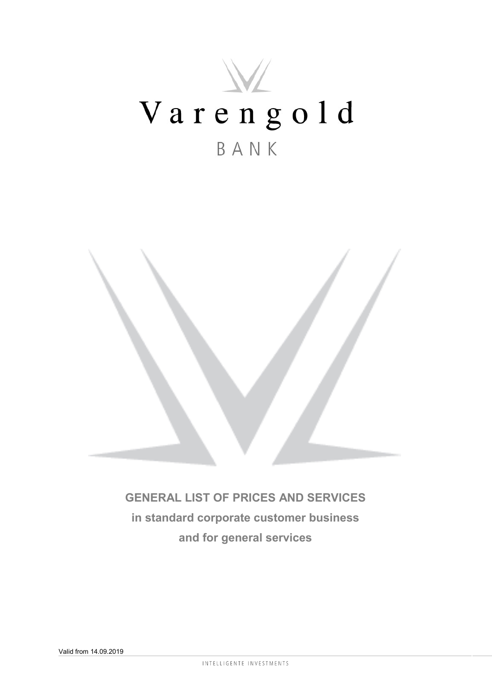# W Varengold BANK



**GENERAL LIST OF PRICES AND SERVICES in standard corporate customer business and for general services**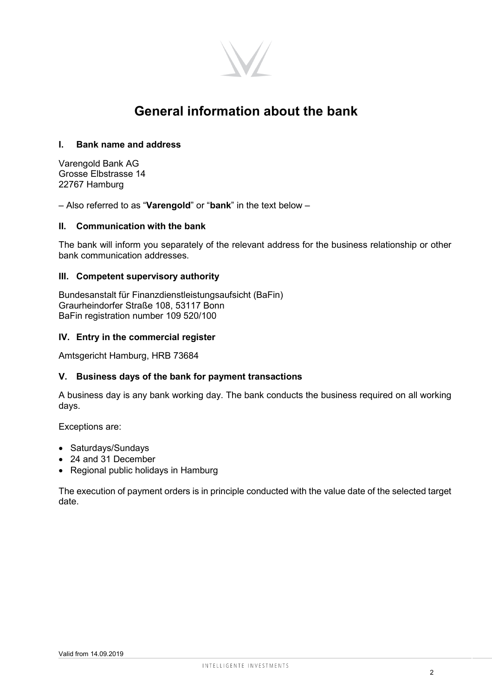

# **General information about the bank**

# **I. Bank name and address**

Varengold Bank AG Grosse Elbstrasse 14 22767 Hamburg

– Also referred to as "**Varengold**" or "**bank**" in the text below –

# **II. Communication with the bank**

The bank will inform you separately of the relevant address for the business relationship or other bank communication addresses.

## **III. Competent supervisory authority**

Bundesanstalt für Finanzdienstleistungsaufsicht (BaFin) Graurheindorfer Straße 108, 53117 Bonn BaFin registration number 109 520/100

## **IV. Entry in the commercial register**

Amtsgericht Hamburg, HRB 73684

## **V. Business days of the bank for payment transactions**

A business day is any bank working day. The bank conducts the business required on all working days.

Exceptions are:

- Saturdays/Sundays
- 24 and 31 December
- Regional public holidays in Hamburg

The execution of payment orders is in principle conducted with the value date of the selected target date.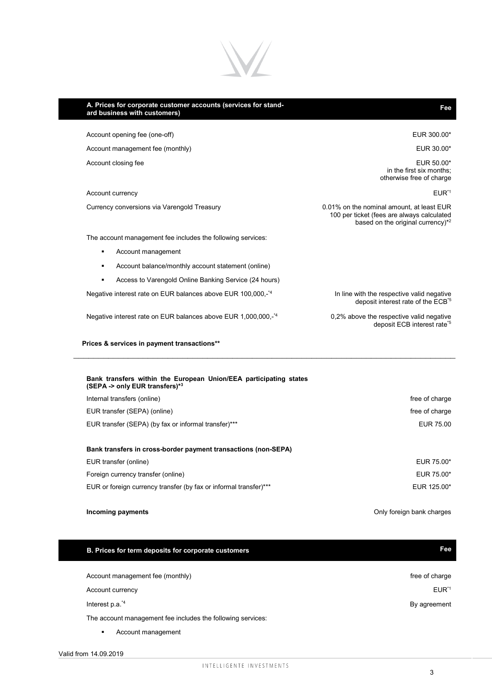

| A. Prices for corporate customer accounts (services for stand-<br>ard business with customers)      | Fee                                                                                                                                      |
|-----------------------------------------------------------------------------------------------------|------------------------------------------------------------------------------------------------------------------------------------------|
| Account opening fee (one-off)                                                                       | EUR 300.00*                                                                                                                              |
| Account management fee (monthly)                                                                    | EUR 30.00*                                                                                                                               |
| Account closing fee                                                                                 | EUR 50.00*<br>in the first six months:<br>otherwise free of charge                                                                       |
| Account currency                                                                                    | $EUR^{\star}1$                                                                                                                           |
| Currency conversions via Varengold Treasury                                                         | 0.01% on the nominal amount, at least EUR<br>100 per ticket (fees are always calculated<br>based on the original currency) <sup>*2</sup> |
| The account management fee includes the following services:                                         |                                                                                                                                          |
| Account management<br>٠                                                                             |                                                                                                                                          |
| Account balance/monthly account statement (online)<br>٠                                             |                                                                                                                                          |
| Access to Varengold Online Banking Service (24 hours)<br>$\blacksquare$                             |                                                                                                                                          |
| Negative interest rate on EUR balances above EUR 100,000,- <sup>*4</sup>                            | In line with the respective valid negative<br>deposit interest rate of the ECB <sup>*5</sup>                                             |
| Negative interest rate on EUR balances above EUR 1,000,000,- <sup>*4</sup>                          | 0,2% above the respective valid negative<br>deposit ECB interest rate <sup>*5</sup>                                                      |
| Prices & services in payment transactions**                                                         |                                                                                                                                          |
| Bank transfers within the European Union/EEA participating states<br>(SEPA -> only EUR transfers)*3 |                                                                                                                                          |
| Internal transfers (online)                                                                         | free of charge                                                                                                                           |
| EUR transfer (SEPA) (online)                                                                        | free of charge                                                                                                                           |
| EUR transfer (SEPA) (by fax or informal transfer)***                                                | EUR 75.00                                                                                                                                |
| Bank transfers in cross-border payment transactions (non-SEPA)                                      |                                                                                                                                          |
| EUR transfer (online)                                                                               | EUR 75.00*                                                                                                                               |
| Foreign currency transfer (online)                                                                  | EUR 75.00*                                                                                                                               |
| EUR or foreign currency transfer (by fax or informal transfer)***                                   | EUR 125.00*                                                                                                                              |
| Incoming payments                                                                                   | Only foreign bank charges                                                                                                                |

# **B. Prices for term deposits for corporate customers Fee**  Account management fee (monthly) and the countries of charge free of charge free of charge Account currency EUR<sup>\*1</sup> Interest p.a.<sup>\*4</sup> By agreement The account management fee includes the following services:

**Account management**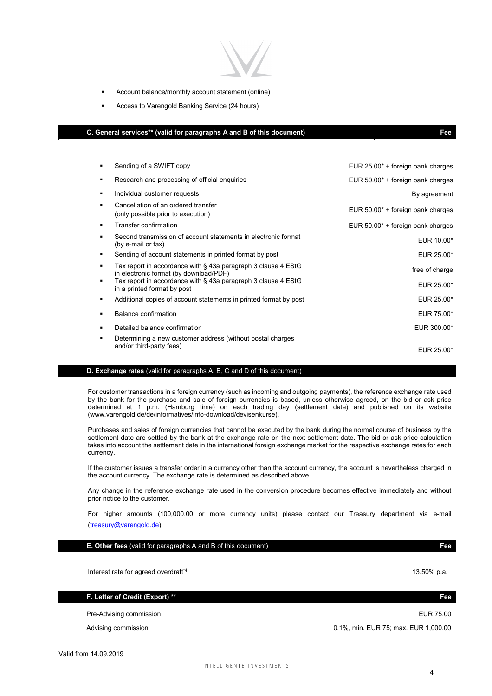- Account balance/monthly account statement (online)
- **Access to Varengold Banking Service (24 hours)**

### **C. General services\*\* (valid for paragraphs A and B of this document) Fee**

| ٠ | Sending of a SWIFT copy                                                                                 | EUR $25.00^*$ + foreign bank charges |
|---|---------------------------------------------------------------------------------------------------------|--------------------------------------|
| ٠ | Research and processing of official enquiries                                                           | EUR $50.00*$ + foreign bank charges  |
| ٠ | Individual customer requests                                                                            | By agreement                         |
| ٠ | Cancellation of an ordered transfer<br>(only possible prior to execution)                               | EUR $50.00*$ + foreign bank charges  |
| ٠ | Transfer confirmation                                                                                   | EUR $50.00*$ + foreign bank charges  |
| ٠ | Second transmission of account statements in electronic format<br>(by e-mail or fax)                    | EUR 10.00*                           |
| ٠ | Sending of account statements in printed format by post                                                 | EUR 25.00*                           |
|   | Tax report in accordance with § 43a paragraph 3 clause 4 EStG<br>in electronic format (by download/PDF) | free of charge                       |
| ٠ | Tax report in accordance with § 43a paragraph 3 clause 4 EStG<br>in a printed format by post            | EUR 25.00*                           |
| ٠ | Additional copies of account statements in printed format by post                                       | EUR 25.00*                           |
| ٠ | Balance confirmation                                                                                    | EUR 75.00*                           |
| ٠ | Detailed balance confirmation                                                                           | EUR 300.00*                          |
| ٠ | Determining a new customer address (without postal charges                                              |                                      |
|   | and/or third-party fees)                                                                                | EUR 25.00*                           |

#### **D. Exchange rates** (valid for paragraphs A, B, C and D of this document)

For customer transactions in a foreign currency (such as incoming and outgoing payments), the reference exchange rate used by the bank for the purchase and sale of foreign currencies is based, unless otherwise agreed, on the bid or ask price determined at 1 p.m. (Hamburg time) on each trading day (settlement date) and published on its website (www.varengold.de/de/informatives/info-download/devisenkurse).

Purchases and sales of foreign currencies that cannot be executed by the bank during the normal course of business by the settlement date are settled by the bank at the exchange rate on the next settlement date. The bid or ask price calculation takes into account the settlement date in the international foreign exchange market for the respective exchange rates for each currency.

If the customer issues a transfer order in a currency other than the account currency, the account is nevertheless charged in the account currency. The exchange rate is determined as described above.

Any change in the reference exchange rate used in the conversion procedure becomes effective immediately and without prior notice to the customer.

For higher amounts (100,000.00 or more currency units) please contact our Treasury department via e-mail (treasury@varengold.de).

**E. Other fees** (valid for paragraphs A and B of this document) **Fee** 

Interest rate for agreed overdraft<sup>\*4</sup>

**F. Letter of Credit (Export) \*\* Fee** 

Pre-Advising commission EUR 75.00

Valid from 14.09.2019

### Advising commission **Advising commission 1.1%, min. EUR 75**; max. EUR 1,000.00

4